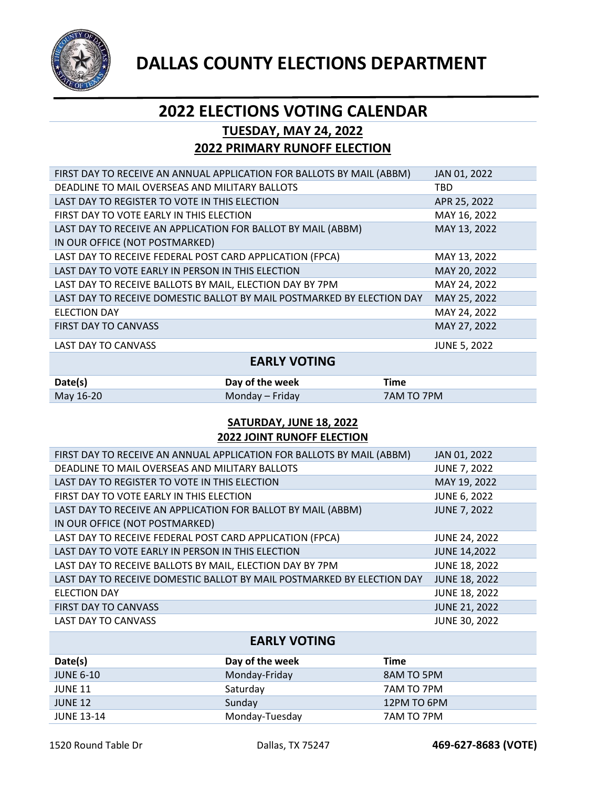

## **2022 ELECTIONS VOTING CALENDAR TUESDAY, MAY 24, 2022**

# **2022 PRIMARY RUNOFF ELECTION**

| FIRST DAY TO RECEIVE AN ANNUAL APPLICATION FOR BALLOTS BY MAIL (ABBM)  | JAN 01, 2022        |
|------------------------------------------------------------------------|---------------------|
| DEADLINE TO MAIL OVERSEAS AND MILITARY BALLOTS                         | <b>TBD</b>          |
| LAST DAY TO REGISTER TO VOTE IN THIS ELECTION                          | APR 25, 2022        |
| FIRST DAY TO VOTE EARLY IN THIS ELECTION                               | MAY 16, 2022        |
| LAST DAY TO RECEIVE AN APPLICATION FOR BALLOT BY MAIL (ABBM)           | MAY 13, 2022        |
| IN OUR OFFICE (NOT POSTMARKED)                                         |                     |
| LAST DAY TO RECEIVE FEDERAL POST CARD APPLICATION (FPCA)               | MAY 13, 2022        |
| LAST DAY TO VOTE EARLY IN PERSON IN THIS ELECTION                      | MAY 20, 2022        |
| LAST DAY TO RECEIVE BALLOTS BY MAIL, ELECTION DAY BY 7PM               | MAY 24, 2022        |
| LAST DAY TO RECEIVE DOMESTIC BALLOT BY MAIL POSTMARKED BY ELECTION DAY | MAY 25, 2022        |
| <b>ELECTION DAY</b>                                                    | MAY 24, 2022        |
| <b>FIRST DAY TO CANVASS</b>                                            | MAY 27, 2022        |
| <b>LAST DAY TO CANVASS</b>                                             | <b>JUNE 5, 2022</b> |

#### **EARLY VOTING**

| Date(s)   | Day of the week | Time       |
|-----------|-----------------|------------|
| May 16-20 | Monday – Friday | 7AM TO 7PM |

#### **SATURDAY, JUNE 18, 2022 2022 JOINT RUNOFF ELECTION**

| FIRST DAY TO RECEIVE AN ANNUAL APPLICATION FOR BALLOTS BY MAIL (ABBM)  | JAN 01, 2022         |
|------------------------------------------------------------------------|----------------------|
| DEADLINE TO MAIL OVERSEAS AND MILITARY BALLOTS                         | <b>JUNE 7, 2022</b>  |
| LAST DAY TO REGISTER TO VOTE IN THIS ELECTION                          | MAY 19, 2022         |
| FIRST DAY TO VOTE EARLY IN THIS ELECTION                               | <b>JUNE 6, 2022</b>  |
| LAST DAY TO RECEIVE AN APPLICATION FOR BALLOT BY MAIL (ABBM)           | <b>JUNE 7, 2022</b>  |
| IN OUR OFFICE (NOT POSTMARKED)                                         |                      |
| LAST DAY TO RECEIVE FEDERAL POST CARD APPLICATION (FPCA)               | <b>JUNE 24, 2022</b> |
| LAST DAY TO VOTE EARLY IN PERSON IN THIS ELECTION                      | <b>JUNE 14,2022</b>  |
| LAST DAY TO RECEIVE BALLOTS BY MAIL, ELECTION DAY BY 7PM               | <b>JUNE 18, 2022</b> |
| LAST DAY TO RECEIVE DOMESTIC BALLOT BY MAIL POSTMARKED BY ELECTION DAY | <b>JUNE 18, 2022</b> |
| <b>ELECTION DAY</b>                                                    | <b>JUNE 18, 2022</b> |
| FIRST DAY TO CANVASS                                                   | <b>JUNE 21, 2022</b> |
| <b>LAST DAY TO CANVASS</b>                                             | JUNE 30, 2022        |

## **EARLY VOTING Date(s) Day of the week Time**  JUNE 6-10 Monday-Friday 8AM TO 5PM JUNE 11 Saturday Saturday 7AM TO 7PM JUNE 12 Sunday 12PM TO 6PM JUNE 13-14 Monday-Tuesday 7AM TO 7PM